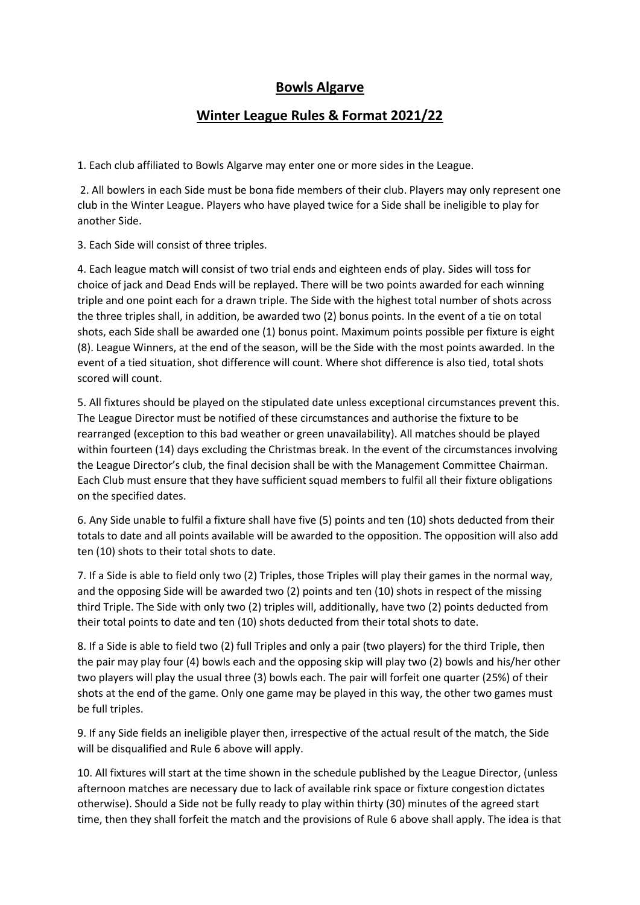## **Bowls Algarve**

## **Winter League Rules & Format 2021/22**

1. Each club affiliated to Bowls Algarve may enter one or more sides in the League.

2. All bowlers in each Side must be bona fide members of their club. Players may only represent one club in the Winter League. Players who have played twice for a Side shall be ineligible to play for another Side.

3. Each Side will consist of three triples.

4. Each league match will consist of two trial ends and eighteen ends of play. Sides will toss for choice of jack and Dead Ends will be replayed. There will be two points awarded for each winning triple and one point each for a drawn triple. The Side with the highest total number of shots across the three triples shall, in addition, be awarded two (2) bonus points. In the event of a tie on total shots, each Side shall be awarded one (1) bonus point. Maximum points possible per fixture is eight (8). League Winners, at the end of the season, will be the Side with the most points awarded. In the event of a tied situation, shot difference will count. Where shot difference is also tied, total shots scored will count.

5. All fixtures should be played on the stipulated date unless exceptional circumstances prevent this. The League Director must be notified of these circumstances and authorise the fixture to be rearranged (exception to this bad weather or green unavailability). All matches should be played within fourteen (14) days excluding the Christmas break. In the event of the circumstances involving the League Director's club, the final decision shall be with the Management Committee Chairman. Each Club must ensure that they have sufficient squad members to fulfil all their fixture obligations on the specified dates.

6. Any Side unable to fulfil a fixture shall have five (5) points and ten (10) shots deducted from their totals to date and all points available will be awarded to the opposition. The opposition will also add ten (10) shots to their total shots to date.

7. If a Side is able to field only two (2) Triples, those Triples will play their games in the normal way, and the opposing Side will be awarded two (2) points and ten (10) shots in respect of the missing third Triple. The Side with only two (2) triples will, additionally, have two (2) points deducted from their total points to date and ten (10) shots deducted from their total shots to date.

8. If a Side is able to field two (2) full Triples and only a pair (two players) for the third Triple, then the pair may play four (4) bowls each and the opposing skip will play two (2) bowls and his/her other two players will play the usual three (3) bowls each. The pair will forfeit one quarter (25%) of their shots at the end of the game. Only one game may be played in this way, the other two games must be full triples.

9. If any Side fields an ineligible player then, irrespective of the actual result of the match, the Side will be disqualified and Rule 6 above will apply.

10. All fixtures will start at the time shown in the schedule published by the League Director, (unless afternoon matches are necessary due to lack of available rink space or fixture congestion dictates otherwise). Should a Side not be fully ready to play within thirty (30) minutes of the agreed start time, then they shall forfeit the match and the provisions of Rule 6 above shall apply. The idea is that